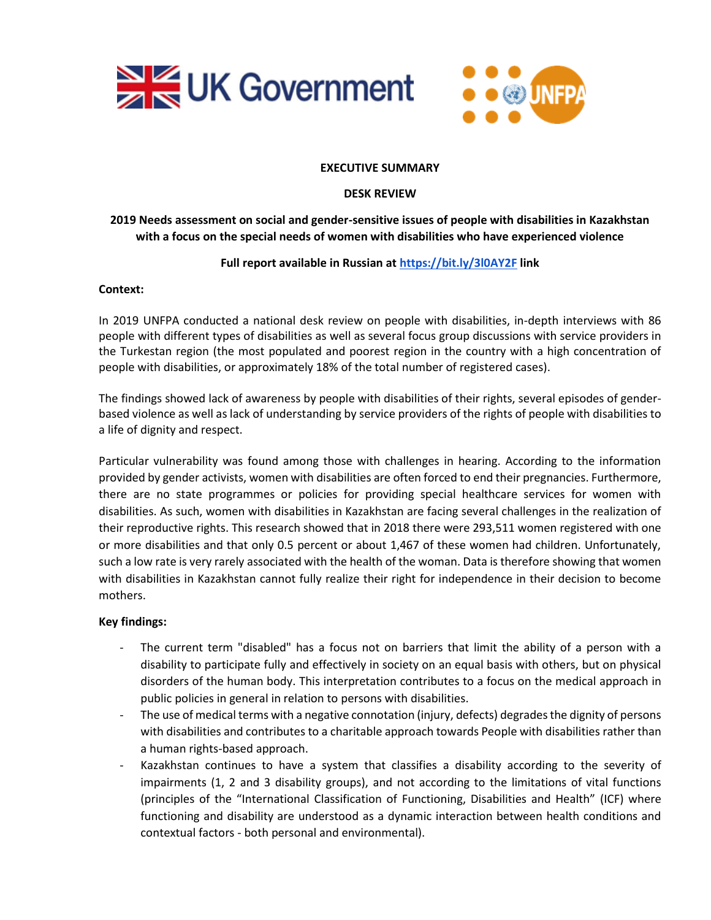



#### **EXECUTIVE SUMMARY**

#### **DESK REVIEW**

# **2019 Needs assessment on social and gender-sensitive issues of people with disabilities in Kazakhstan with a focus on the special needs of women with disabilities who have experienced violence**

## **Full report available in Russian at<https://bit.ly/3l0AY2F> link**

#### **Context:**

In 2019 UNFPA conducted a national desk review on people with disabilities, in-depth interviews with 86 people with different types of disabilities as well as several focus group discussions with service providers in the Turkestan region (the most populated and poorest region in the country with a high concentration of people with disabilities, or approximately 18% of the total number of registered cases).

The findings showed lack of awareness by people with disabilities of their rights, several episodes of genderbased violence as well as lack of understanding by service providers of the rights of people with disabilities to a life of dignity and respect.

Particular vulnerability was found among those with challenges in hearing. According to the information provided by gender activists, women with disabilities are often forced to end their pregnancies. Furthermore, there are no state programmes or policies for providing special healthcare services for women with disabilities. As such, women with disabilities in Kazakhstan are facing several challenges in the realization of their reproductive rights. This research showed that in 2018 there were 293,511 women registered with one or more disabilities and that only 0.5 percent or about 1,467 of these women had children. Unfortunately, such a low rate is very rarely associated with the health of the woman. Data is therefore showing that women with disabilities in Kazakhstan cannot fully realize their right for independence in their decision to become mothers.

## **Key findings:**

- The current term "disabled" has a focus not on barriers that limit the ability of a person with a disability to participate fully and effectively in society on an equal basis with others, but on physical disorders of the human body. This interpretation contributes to a focus on the medical approach in public policies in general in relation to persons with disabilities.
- The use of medical terms with a negative connotation (injury, defects) degrades the dignity of persons with disabilities and contributes to a charitable approach towards People with disabilities rather than a human rights-based approach.
- Kazakhstan continues to have a system that classifies a disability according to the severity of impairments (1, 2 and 3 disability groups), and not according to the limitations of vital functions (principles of the "International Classification of Functioning, Disabilities and Health" (ICF) where functioning and disability are understood as a dynamic interaction between health conditions and contextual factors - both personal and environmental).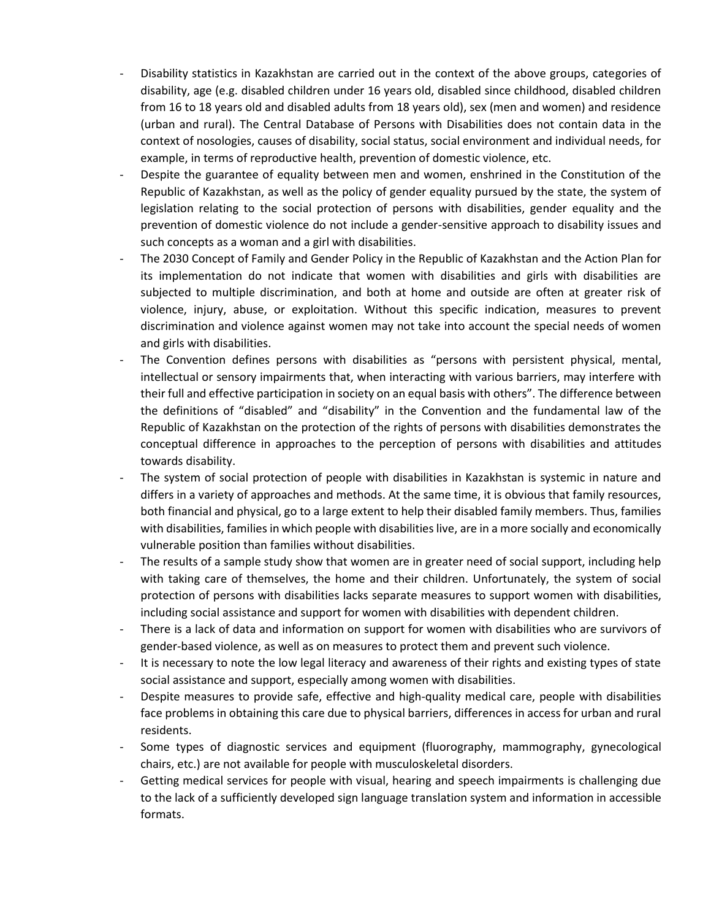- Disability statistics in Kazakhstan are carried out in the context of the above groups, categories of disability, age (e.g. disabled children under 16 years old, disabled since childhood, disabled children from 16 to 18 years old and disabled adults from 18 years old), sex (men and women) and residence (urban and rural). The Central Database of Persons with Disabilities does not contain data in the context of nosologies, causes of disability, social status, social environment and individual needs, for example, in terms of reproductive health, prevention of domestic violence, etc.
- Despite the guarantee of equality between men and women, enshrined in the Constitution of the Republic of Kazakhstan, as well as the policy of gender equality pursued by the state, the system of legislation relating to the social protection of persons with disabilities, gender equality and the prevention of domestic violence do not include a gender-sensitive approach to disability issues and such concepts as a woman and a girl with disabilities.
- The 2030 Concept of Family and Gender Policy in the Republic of Kazakhstan and the Action Plan for its implementation do not indicate that women with disabilities and girls with disabilities are subjected to multiple discrimination, and both at home and outside are often at greater risk of violence, injury, abuse, or exploitation. Without this specific indication, measures to prevent discrimination and violence against women may not take into account the special needs of women and girls with disabilities.
- The Convention defines persons with disabilities as "persons with persistent physical, mental, intellectual or sensory impairments that, when interacting with various barriers, may interfere with their full and effective participation in society on an equal basis with others". The difference between the definitions of "disabled" and "disability" in the Convention and the fundamental law of the Republic of Kazakhstan on the protection of the rights of persons with disabilities demonstrates the conceptual difference in approaches to the perception of persons with disabilities and attitudes towards disability.
- The system of social protection of people with disabilities in Kazakhstan is systemic in nature and differs in a variety of approaches and methods. At the same time, it is obvious that family resources, both financial and physical, go to a large extent to help their disabled family members. Thus, families with disabilities, families in which people with disabilities live, are in a more socially and economically vulnerable position than families without disabilities.
- The results of a sample study show that women are in greater need of social support, including help with taking care of themselves, the home and their children. Unfortunately, the system of social protection of persons with disabilities lacks separate measures to support women with disabilities, including social assistance and support for women with disabilities with dependent children.
- There is a lack of data and information on support for women with disabilities who are survivors of gender-based violence, as well as on measures to protect them and prevent such violence.
- It is necessary to note the low legal literacy and awareness of their rights and existing types of state social assistance and support, especially among women with disabilities.
- Despite measures to provide safe, effective and high-quality medical care, people with disabilities face problems in obtaining this care due to physical barriers, differences in access for urban and rural residents.
- Some types of diagnostic services and equipment (fluorography, mammography, gynecological chairs, etc.) are not available for people with musculoskeletal disorders.
- Getting medical services for people with visual, hearing and speech impairments is challenging due to the lack of a sufficiently developed sign language translation system and information in accessible formats.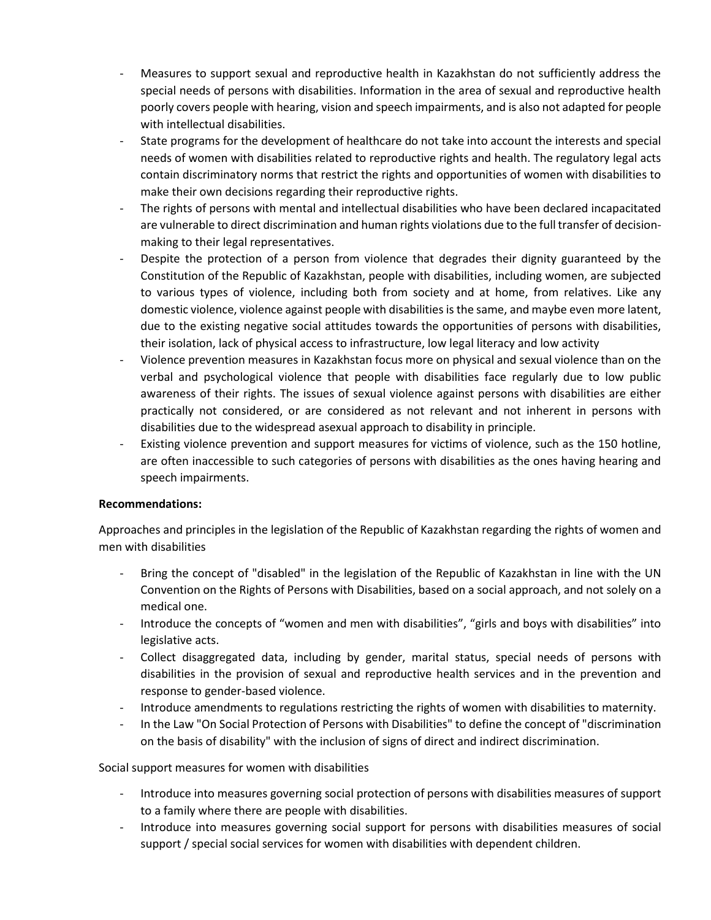- Measures to support sexual and reproductive health in Kazakhstan do not sufficiently address the special needs of persons with disabilities. Information in the area of sexual and reproductive health poorly covers people with hearing, vision and speech impairments, and is also not adapted for people with intellectual disabilities.
- State programs for the development of healthcare do not take into account the interests and special needs of women with disabilities related to reproductive rights and health. The regulatory legal acts contain discriminatory norms that restrict the rights and opportunities of women with disabilities to make their own decisions regarding their reproductive rights.
- The rights of persons with mental and intellectual disabilities who have been declared incapacitated are vulnerable to direct discrimination and human rights violations due to the full transfer of decisionmaking to their legal representatives.
- Despite the protection of a person from violence that degrades their dignity guaranteed by the Constitution of the Republic of Kazakhstan, people with disabilities, including women, are subjected to various types of violence, including both from society and at home, from relatives. Like any domestic violence, violence against people with disabilities is the same, and maybe even more latent, due to the existing negative social attitudes towards the opportunities of persons with disabilities, their isolation, lack of physical access to infrastructure, low legal literacy and low activity
- Violence prevention measures in Kazakhstan focus more on physical and sexual violence than on the verbal and psychological violence that people with disabilities face regularly due to low public awareness of their rights. The issues of sexual violence against persons with disabilities are either practically not considered, or are considered as not relevant and not inherent in persons with disabilities due to the widespread asexual approach to disability in principle.
- Existing violence prevention and support measures for victims of violence, such as the 150 hotline, are often inaccessible to such categories of persons with disabilities as the ones having hearing and speech impairments.

## **Recommendations:**

Approaches and principles in the legislation of the Republic of Kazakhstan regarding the rights of women and men with disabilities

- Bring the concept of "disabled" in the legislation of the Republic of Kazakhstan in line with the UN Convention on the Rights of Persons with Disabilities, based on a social approach, and not solely on a medical one.
- Introduce the concepts of "women and men with disabilities", "girls and boys with disabilities" into legislative acts.
- Collect disaggregated data, including by gender, marital status, special needs of persons with disabilities in the provision of sexual and reproductive health services and in the prevention and response to gender-based violence.
- Introduce amendments to regulations restricting the rights of women with disabilities to maternity.
- In the Law "On Social Protection of Persons with Disabilities" to define the concept of "discrimination on the basis of disability" with the inclusion of signs of direct and indirect discrimination.

Social support measures for women with disabilities

- Introduce into measures governing social protection of persons with disabilities measures of support to a family where there are people with disabilities.
- Introduce into measures governing social support for persons with disabilities measures of social support / special social services for women with disabilities with dependent children.